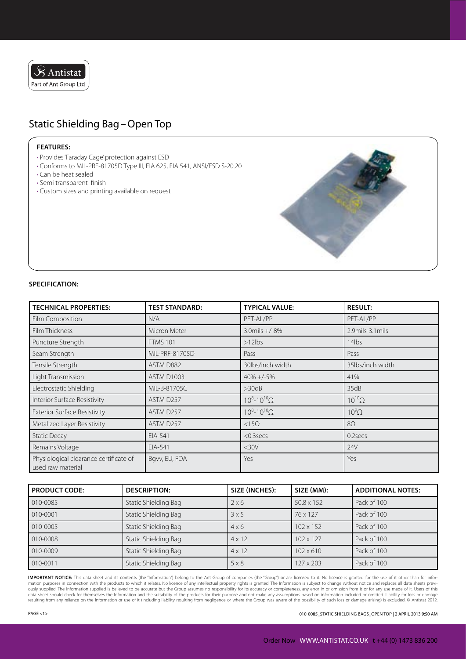

## Static Shielding Bag–Open Top

## **Features:**

- Provides 'Faraday Cage' protection against ESD
- Conforms to MIL-PRF-81705D Type III, EIA 625, EIA 541, ANSI/ESD S-20.20
- Can be heat sealed
- Semi transparent finish
- Custom sizes and printing available on request



## **Specification:**

| <b>TECHNICAL PROPERTIES:</b>                                | <b>TEST STANDARD:</b> | <b>TYPICAL VALUE:</b>   | <b>RESULT:</b>   |
|-------------------------------------------------------------|-----------------------|-------------------------|------------------|
| <b>Film Composition</b>                                     | N/A                   | PET-AL/PP               | PET-AL/PP        |
| Film Thickness                                              | Micron Meter          | $3.0$ mils $+/-8%$      | 2.9mils-3.1mils  |
| Puncture Strength                                           | <b>FTMS 101</b>       | $>12$ lbs               | 14lbs            |
| Seam Strength                                               | MIL-PRF-81705D        | Pass                    | Pass             |
| Tensile Strength                                            | ASTM D882             | 30lbs/inch width        | 35lbs/inch width |
| Light Transmission                                          | ASTM D1003            | $40\% + (-5\%$          | 41%              |
| Electrostatic Shielding                                     | MIL-B-81705C          | >30dB                   | 35dB             |
| Interior Surface Resistivity                                | ASTM D257             | $10^8 - 10^{10} \Omega$ | $10^{10} \Omega$ |
| <b>Exterior Surface Resistivity</b>                         | ASTM D257             | $10^8 - 10^{10} \Omega$ | $10^9$ $\Omega$  |
| Metalized Layer Resistivity                                 | ASTM D257             | $<15\Omega$             | $8\Omega$        |
| <b>Static Decay</b>                                         | EIA-541               | $<$ 0.3 secs            | 0.2secs          |
| Remains Voltage                                             | EIA-541               | $<$ 30 $V$              | 24V              |
| Physiological clearance certificate of<br>used raw material | Bgvv, EU, FDA         | Yes                     | Yes              |

| <b>PRODUCT CODE:</b> | <b>DESCRIPTION:</b>  | SIZE (INCHES): | SIZE (MM):        | <b>ADDITIONAL NOTES:</b> |
|----------------------|----------------------|----------------|-------------------|--------------------------|
| 010-0085             | Static Shielding Bag | 2x6            | $50.8 \times 152$ | Pack of 100              |
| 010-0001             | Static Shielding Bag | 3x5            | 76 x 127          | Pack of 100              |
| 010-0005             | Static Shielding Bag | $4 \times 6$   | $102 \times 152$  | Pack of 100              |
| 010-0008             | Static Shielding Bag | $4 \times 12$  | $102 \times 127$  | Pack of 100              |
| 010-0009             | Static Shielding Bag | $4 \times 12$  | $102 \times 610$  | Pack of 100              |
| 010-0011             | Static Shielding Bag | $5 \times 8$   | 127 x 203         | Pack of 100              |

**Important Notice:** This data sheet and its contents (the "Information") belong to the Ant Group of companies (the "Group") or are licensed to it. No licence is granted for the use of it other than for information purposes in connection with the products to which it relates. No licence of any intellectual property rights is granted. The Information is subject to change without notice and replaces all data sheets previ-<br>ously data sheet should check for themselves the Information and the suitability of the products for their purpose and not make any assumptions based on information included or omitted. Liability for loss or damage resulting from any reliance on the Information or use of it (including liability resulting from negligence or where the Group was aware of the possibility of such loss or damage arising) is excluded. © Antistat 2012.

Page <1> 010-0085\_Static Shielding Bags\_Open Top | 2 April 2013 9:50 AM